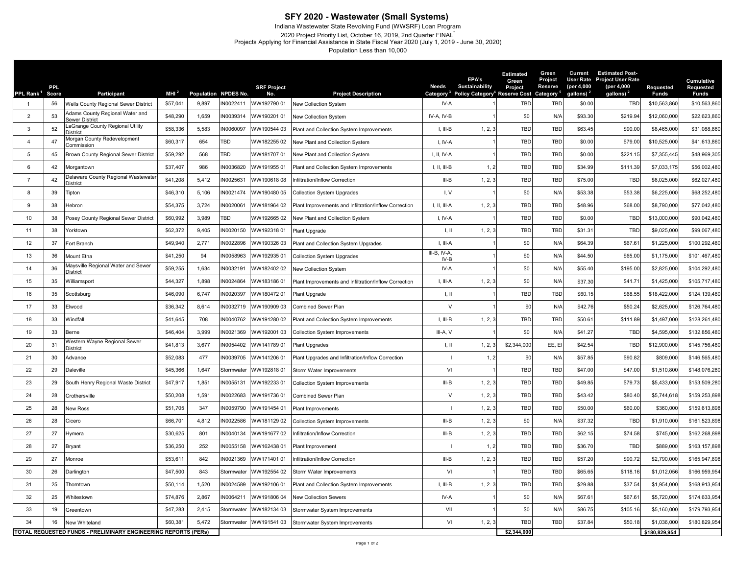## **SFY 2020 - Wastewater (Small Systems)**

Indiana Wastewater State Revolving Fund (WWSRF) Loan Program 2020 Project Priority List, October 16, 2019, 2nd Quarter FINAL\* Projects Applying for Financial Assistance in State Fiscal Year 2020 (July 1, 2019 - June 30, 2020)

Population Less than 10,000

| PPL Rank <sup>1</sup> | <b>PPL</b><br>Score                                            | Participant                                       | MHI <sup>2</sup> | Population NPDES No. |            | <b>SRF Project</b><br>No. | <b>Project Description</b>                            | <b>Needs</b>              | <b>EPA's</b><br>Sustainability<br>Policy Category <sup>4</sup> Reserve Cost Category <sup>5</sup> | <b>Estimated</b><br>Green<br>Project | Green<br>Project<br>Reserve | Current<br><b>User Rate</b><br>(per 4,000<br>gallons) <sup>2</sup> | <b>Estimated Post-</b><br><b>Project User Rate</b><br>(per 4,000<br>gallons) | Requested<br><b>Funds</b> | Cumulative<br><b>Requested</b><br><b>Funds</b> |
|-----------------------|----------------------------------------------------------------|---------------------------------------------------|------------------|----------------------|------------|---------------------------|-------------------------------------------------------|---------------------------|---------------------------------------------------------------------------------------------------|--------------------------------------|-----------------------------|--------------------------------------------------------------------|------------------------------------------------------------------------------|---------------------------|------------------------------------------------|
| $\overline{1}$        | 56                                                             | Wells County Regional Sewer District              | \$57,041         | 9,897                | IN0022411  | WW192790 01               | New Collection System                                 | Category<br>$IV - A$      |                                                                                                   | TBD                                  | <b>TBD</b>                  | \$0.00                                                             | <b>TBD</b>                                                                   | \$10,563,860              | \$10,563,860                                   |
| $\overline{2}$        | 53                                                             | Adams County Regional Water and<br>Sewer District | \$48,290         | 1,659                | IN0039314  | WW190201 01               | New Collection System                                 | IV-A, IV-B                |                                                                                                   | \$0                                  | N/A                         | \$93.30                                                            | \$219.94                                                                     | \$12,060,000              | \$22,623,860                                   |
| 3                     | 52                                                             | LaGrange County Regional Utility<br>District      | \$58,336         | 5,583                | IN0060097  | WW190544 03               | Plant and Collection System Improvements              | I, III-B                  | 1, 2, 3                                                                                           | TBD                                  | <b>TBD</b>                  | \$63.45                                                            | \$90.00                                                                      | \$8,465,000               | \$31,088,860                                   |
| $\overline{4}$        | 47                                                             | Morgan County Redevelopment<br>Commissior         | \$60,317         | 654                  | TBD        | WW18225502                | New Plant and Collection System                       | $I, IV-f$                 |                                                                                                   | TBD                                  | <b>TBD</b>                  | \$0.00                                                             | \$79.00                                                                      | \$10,525,000              | \$41,613,860                                   |
| 5                     | 45                                                             | Brown County Regional Sewer District              | \$59,292         | 568                  | TBD        | WW18170701                | New Plant and Collection System                       | $I, II, IV-l$             |                                                                                                   | TBD                                  | TBD                         | \$0.00                                                             | \$221.15                                                                     | \$7,355,445               | \$48,969,305                                   |
| 6                     | 42                                                             | Morgantown                                        | \$37,407         | 986                  | N0036820   | WW19195501                | Plant and Collection System Improvements              | I, II, III-B              | 1, 2                                                                                              | TBD                                  | <b>TBD</b>                  | \$34.99                                                            | \$111.39                                                                     | \$7,033,175               | \$56,002,480                                   |
| $\overline{7}$        | 42                                                             | Delaware County Regional Wastewater<br>District   | \$41,208         | 5,412                | N0025631   | WW19061808                | Infiltration/Inflow Correction                        | $III-B$                   | 1, 2, 3                                                                                           | TBD                                  | <b>TBD</b>                  | \$75.00                                                            | <b>TBD</b>                                                                   | \$6,025,000               | \$62,027,480                                   |
| 8                     | 39                                                             | Tipton                                            | \$46,310         | 5,106                | IN0021474  | WW19048005                | <b>Collection System Upgrades</b>                     | $, \vee$                  |                                                                                                   | \$0                                  | N/A                         | \$53.38                                                            | \$53.38                                                                      | \$6,225,000               | \$68,252,480                                   |
| 9                     | 38                                                             | Hebron                                            | \$54,375         | 3,724                | IN0020061  | WW181964 02               | Plant Improvements and Infiltration/Inflow Correction | 1, 11, 111-               | 1, 2, 3                                                                                           | TBD                                  | <b>TBD</b>                  | \$48.96                                                            | \$68.00                                                                      | \$8,790,000               | \$77,042,480                                   |
| 10                    | 38                                                             | Posey County Regional Sewer District              | \$60,992         | 3,989                | TBD        | WW19266502                | New Plant and Collection System                       | $I, IV-$                  |                                                                                                   | TBD                                  | TBD                         | \$0.00                                                             | <b>TBD</b>                                                                   | \$13,000,000              | \$90,042,480                                   |
| 11                    | 38                                                             | Yorktown                                          | \$62,372         | 9,405                | IN0020150  | WW19231801                | Plant Upgrade                                         | Ι.                        | 1, 2, 3                                                                                           | TBD                                  | TBD                         | \$31.31                                                            | <b>TBD</b>                                                                   | \$9,025,000               | \$99,067,480                                   |
| 12                    | 37                                                             | Fort Branch                                       | \$49,940         | 2,771                | IN0022896  | VW19032603                | Plant and Collection System Upgrades                  | $I, III-$                 |                                                                                                   | \$0                                  | N/A                         | \$64.39                                                            | \$67.61                                                                      | \$1,225,000               | \$100,292,480                                  |
| 13                    | 36                                                             | Mount Etna                                        | \$41,250         | 94                   | IN0058963  | WW19293501                | Collection System Upgrades                            | $III-B, IV-A$<br>IV-      |                                                                                                   | \$0                                  | N/A                         | \$44.50                                                            | \$65.00                                                                      | \$1,175,000               | \$101,467,480                                  |
| 14                    | 36                                                             | Maysville Regional Water and Sewer<br>District    | \$59,255         | 1,634                | IN0032191  | WW182402 02               | New Collection System                                 | $IV-f$                    |                                                                                                   | \$0                                  | N/A                         | \$55.40                                                            | \$195.00                                                                     | \$2,825,000               | \$104,292,480                                  |
| 15                    | 35                                                             | Williamsport                                      | \$44,327         | 1,898                | IN0024864  | WW18318601                | Plant Improvements and Infiltration/Inflow Correction | $\parallel$ , $\parallel$ | 1, 2, 3                                                                                           | \$0                                  | N/A                         | \$37.30                                                            | \$41.71                                                                      | \$1,425,000               | \$105,717,480                                  |
| 16                    | 35                                                             | Scottsburg                                        | \$46,090         | 6,747                | IN0020397  | WW18047201                | Plant Upgrade                                         | $\mathsf{I}, \mathsf{I}$  |                                                                                                   | TBD                                  | <b>TBD</b>                  | \$60.15                                                            | \$68.55                                                                      | \$18,422,000              | \$124,139,480                                  |
| 17                    | 33                                                             | Elwood                                            | \$36,342         | 8,614                | N0032719   | WW19090903                | Combined Sewer Plan                                   |                           |                                                                                                   | \$0                                  | N/A                         | \$42.76                                                            | \$50.24                                                                      | \$2,625,000               | \$126,764,480                                  |
| 18                    | 33                                                             | Windfall                                          | \$41,645         | 708                  | IN0040762  | VW19128002                | Plant and Collection System Improvements              | $I, III-B$                | 1, 2, 3                                                                                           | <b>TBD</b>                           | <b>TBD</b>                  | \$50.61                                                            | \$111.89                                                                     | \$1,497,000               | \$128,261,480                                  |
| 19                    | 33                                                             | Berne                                             | \$46,404         | 3,999                | IN0021369  | WW19200103                | <b>Collection System Improvements</b>                 | $III-A,$                  |                                                                                                   | \$0                                  | N/A                         | \$41.27                                                            | <b>TBD</b>                                                                   | \$4,595,000               | \$132,856,480                                  |
| 20                    | 31                                                             | Western Wayne Regional Sewer<br>District          | \$41,813         | 3,677                | N0054402   | WW14178901                | Plant Upgrades                                        | Ι,                        | 1, 2, 3                                                                                           | \$2,344,000                          | EE, EI                      | \$42.54                                                            | <b>TBD</b>                                                                   | \$12,900,000              | \$145,756,480                                  |
| 21                    | 30                                                             | Advance                                           | \$52,083         | 477                  | IN0039705  | WW14120601                | Plant Upgrades and Infiltration/Inflow Correction     |                           | 1, 2                                                                                              | \$0                                  | N/A                         | \$57.85                                                            | \$90.82                                                                      | \$809,000                 | \$146,565,480                                  |
| 22                    | 29                                                             | Daleville                                         | \$45,366         | 1,647                | Stormwate  | WW19281801                | Storm Water Improvements                              |                           |                                                                                                   | TBD                                  | TBD                         | \$47.00                                                            | \$47.00                                                                      | \$1,510,800               | \$148,076,280                                  |
| 23                    | 29                                                             | South Henry Regional Waste District               | \$47,917         | 1,851                | IN0055131  | WW19223301                | <b>Collection System Improvements</b>                 | $III-B$                   | 1, 2, 3                                                                                           | <b>TBD</b>                           | <b>TBD</b>                  | \$49.85                                                            | \$79.73                                                                      | \$5,433,000               | \$153,509,280                                  |
| 24                    | 28                                                             | Crothersville                                     | \$50,208         | 1,591                | IN0022683  | VW19173601                | Combined Sewer Plan                                   |                           | 1, 2, 3                                                                                           | <b>TBD</b>                           | <b>TBD</b>                  | \$43.42                                                            | \$80.40                                                                      | \$5,744,618               | \$159,253,898                                  |
| 25                    | 28                                                             | <b>New Ross</b>                                   | \$51,705         | 347                  | IN0059790  | WW19145401                | Plant Improvements                                    |                           | 1, 2, 3                                                                                           | <b>TBD</b>                           | <b>TBD</b>                  | \$50.00                                                            | \$60.00                                                                      | \$360,000                 | \$159,613,898                                  |
| 26                    | 28                                                             | Cicero                                            | \$66,701         | 4,812                | IN0022586  | WW18112902                | Collection System Improvements                        | $III - E$                 | 1, 2, 3                                                                                           | \$0                                  | N/A                         | \$37.32                                                            | <b>TBD</b>                                                                   | \$1,910,000               | \$161,523,898                                  |
| 27                    | 27                                                             | Hymera                                            | \$30,625         | 801                  | IN0040134  | WW19167702                | Infiltration/Inflow Correction                        | $III - E$                 | 1, 2, 3                                                                                           | TBD                                  | <b>TBD</b>                  | \$62.15                                                            | \$74.58                                                                      | \$745,000                 | \$162,268,898                                  |
| 28                    | 27                                                             | Bryant                                            | \$36,250         | 252                  | IN0055158  | WW16243801                | Plant Improvement                                     |                           | 1, 2                                                                                              | TBD                                  | <b>TBD</b>                  | \$36.70                                                            | <b>TBD</b>                                                                   | \$889,000                 | \$163,157,898                                  |
| 29                    | 27                                                             | Monroe                                            | \$53,611         | 842                  | IN0021369  | WW171401 01               | nfiltration/Inflow Correction                         | $III-B$                   | 1, 2, 3                                                                                           | TBD                                  | <b>TBD</b>                  | \$57.20                                                            | \$90.72                                                                      | \$2,790,000               | \$165,947,898                                  |
| 30                    | 26                                                             | Darlington                                        | \$47,500         | 843                  | Stormwater | WW192554 02               | Storm Water Improvements                              |                           |                                                                                                   | <b>TBD</b>                           | <b>TBD</b>                  | \$65.65                                                            | \$118.16                                                                     | \$1,012,056               | \$166,959,954                                  |
| 31                    | 25                                                             | Thorntown                                         | \$50,114         | 1,520                | IN0024589  | WW192106 01               | Plant and Collection System Improvements              | $I, III-B$                | 1, 2.3                                                                                            | <b>TBD</b>                           | <b>TBD</b>                  | \$29.88                                                            | \$37.54                                                                      | \$1,954,000               | \$168,913,954                                  |
| 32                    | 25                                                             | Whitestown                                        | \$74,876         | 2,867                | IN0064211  | WW19180604                | New Collection Sewers                                 | IV-A                      |                                                                                                   | \$0                                  | N/A                         | \$67.61                                                            | \$67.61                                                                      | \$5,720,000               | \$174,633,954                                  |
| 33                    | 19                                                             | Greentown                                         | \$47,283         | 2,415                | Stormwater | WW18213403                | Stormwater System Improvements                        | VI                        |                                                                                                   | \$0                                  | N/A                         | \$86.75                                                            | \$105.16                                                                     | \$5,160,000               | \$179,793,954                                  |
| 34                    | 16                                                             | New Whiteland                                     | \$60,381         | 5,472                | Stormwater | WW19154103                | Stormwater System Improvements                        | $\vee$                    | 1, 2, 3                                                                                           | <b>TBD</b>                           | <b>TBD</b>                  | \$37.84                                                            | \$50.18                                                                      | \$1,036,000               | \$180,829,954                                  |
|                       | TOTAL REQUESTED FUNDS - PRELIMINARY ENGINEERING REPORTS (PERs) |                                                   |                  |                      |            |                           |                                                       |                           |                                                                                                   | \$2,344,000                          |                             |                                                                    |                                                                              | \$180,829,954             |                                                |